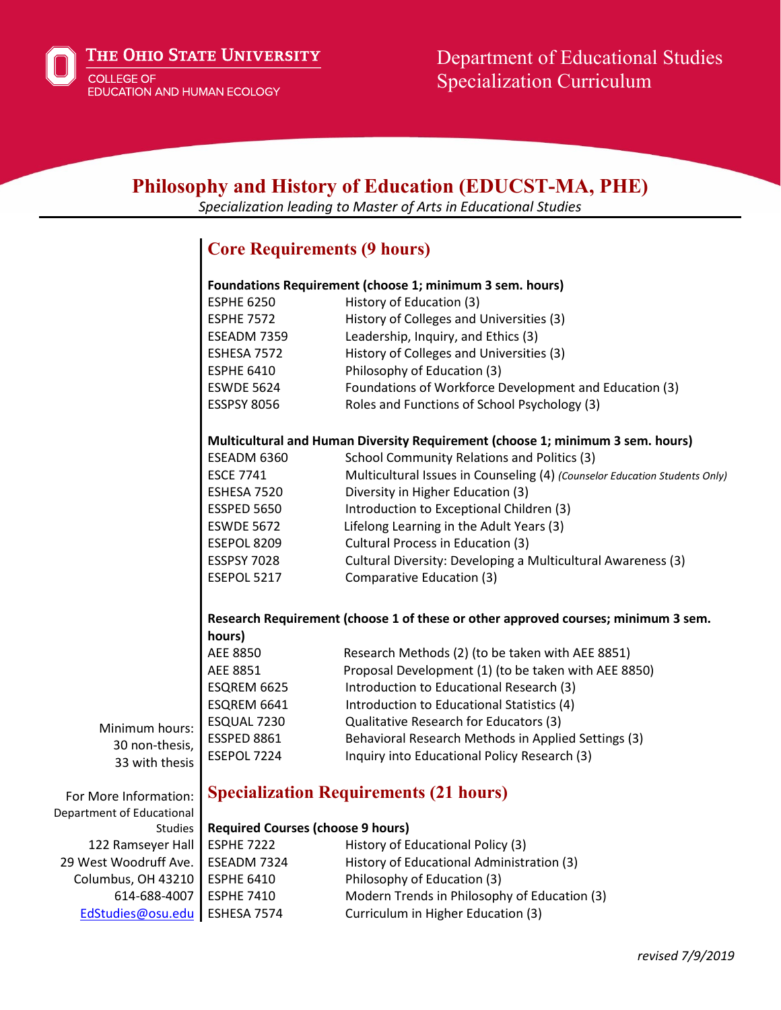

THE OHIO STATE UNIVERSITY

**COLLEGE OF** EDUCATION AND HUMAN ECOLOGY

614-688-4007

[EdStudies@osu.edu](mailto:EdStudies@osu.edu) ESHESA 7574

# **Philosophy and History of Education (EDUCST-MA, PHE)**

*Specialization leading to Master of Arts in Educational Studies*

## **Core Requirements (9 hours)**

|                           | Foundations Requirement (choose 1; minimum 3 sem. hours)                          |                                                                            |
|---------------------------|-----------------------------------------------------------------------------------|----------------------------------------------------------------------------|
|                           | <b>ESPHE 6250</b>                                                                 | History of Education (3)                                                   |
|                           | <b>ESPHE 7572</b>                                                                 | History of Colleges and Universities (3)                                   |
|                           | ESEADM 7359                                                                       | Leadership, Inquiry, and Ethics (3)                                        |
|                           | ESHESA 7572                                                                       | History of Colleges and Universities (3)                                   |
|                           | <b>ESPHE 6410</b>                                                                 | Philosophy of Education (3)                                                |
|                           | <b>ESWDE 5624</b>                                                                 | Foundations of Workforce Development and Education (3)                     |
|                           | <b>ESSPSY 8056</b>                                                                | Roles and Functions of School Psychology (3)                               |
|                           | Multicultural and Human Diversity Requirement (choose 1; minimum 3 sem. hours)    |                                                                            |
|                           | ESEADM 6360                                                                       | School Community Relations and Politics (3)                                |
|                           | <b>ESCE 7741</b>                                                                  | Multicultural Issues in Counseling (4) (Counselor Education Students Only) |
|                           | ESHESA 7520                                                                       | Diversity in Higher Education (3)                                          |
|                           | <b>ESSPED 5650</b>                                                                | Introduction to Exceptional Children (3)                                   |
|                           | <b>ESWDE 5672</b>                                                                 | Lifelong Learning in the Adult Years (3)                                   |
|                           | ESEPOL 8209                                                                       | Cultural Process in Education (3)                                          |
|                           | <b>ESSPSY 7028</b>                                                                | Cultural Diversity: Developing a Multicultural Awareness (3)               |
|                           | ESEPOL 5217                                                                       | Comparative Education (3)                                                  |
|                           | Research Requirement (choose 1 of these or other approved courses; minimum 3 sem. |                                                                            |
|                           | hours)                                                                            |                                                                            |
|                           | AEE 8850                                                                          | Research Methods (2) (to be taken with AEE 8851)                           |
|                           | AEE 8851                                                                          | Proposal Development (1) (to be taken with AEE 8850)                       |
|                           | ESQREM 6625                                                                       | Introduction to Educational Research (3)                                   |
|                           | ESQREM 6641                                                                       | Introduction to Educational Statistics (4)                                 |
|                           | ESQUAL 7230                                                                       | Qualitative Research for Educators (3)                                     |
| Minimum hours:            | ESSPED 8861                                                                       | Behavioral Research Methods in Applied Settings (3)                        |
| 30 non-thesis,            | ESEPOL 7224                                                                       | Inquiry into Educational Policy Research (3)                               |
| 33 with thesis            |                                                                                   |                                                                            |
| For More Information:     | <b>Specialization Requirements (21 hours)</b>                                     |                                                                            |
| Department of Educational |                                                                                   |                                                                            |
| <b>Studies</b>            | <b>Required Courses (choose 9 hours)</b>                                          |                                                                            |
| 122 Ramseyer Hall         | <b>ESPHE 7222</b>                                                                 | History of Educational Policy (3)                                          |
| 29 West Woodruff Ave.     | ESEADM 7324                                                                       | History of Educational Administration (3)                                  |
| Columbus, OH 43210        | <b>ESPHE 6410</b>                                                                 | Philosophy of Education (3)                                                |

ESPHE 7410 Modern Trends in Philosophy of Education (3)

Curriculum in Higher Education (3)

*revised 7/9/2019*